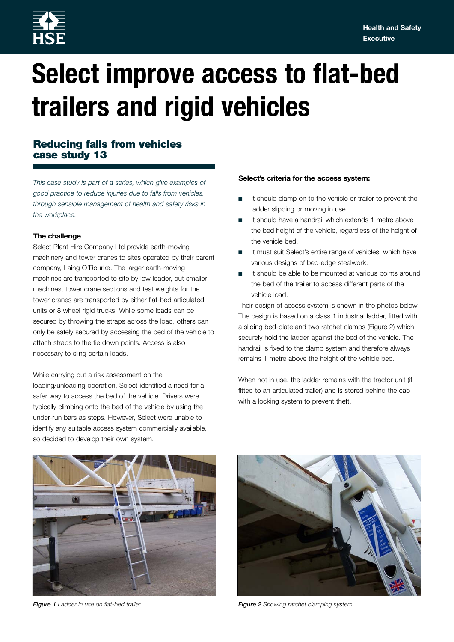

# **Select improve access to flat-bed trailers and rigid vehicles**

## **Reducing falls from vehicles case study 13**

*This case study is part of a series, which give examples of good practice to reduce injuries due to falls from vehicles, through sensible management of health and safety risks in the workplace.*

### **The challenge**

Select Plant Hire Company Ltd provide earth-moving machinery and tower cranes to sites operated by their parent company, Laing O'Rourke. The larger earth-moving machines are transported to site by low loader, but smaller machines, tower crane sections and test weights for the tower cranes are transported by either flat-bed articulated units or 8 wheel rigid trucks. While some loads can be secured by throwing the straps across the load, others can only be safely secured by accessing the bed of the vehicle to attach straps to the tie down points. Access is also necessary to sling certain loads.

While carrying out a risk assessment on the loading/unloading operation, Select identified a need for a safer way to access the bed of the vehicle. Drivers were typically climbing onto the bed of the vehicle by using the under-run bars as steps. However, Select were unable to identify any suitable access system commercially available, so decided to develop their own system.

#### **Select's criteria for the access system:**

- It should clamp on to the vehicle or trailer to prevent the ladder slipping or moving in use.
- It should have a handrail which extends 1 metre above the bed height of the vehicle, regardless of the height of the vehicle bed.
- It must suit Select's entire range of vehicles, which have various designs of bed-edge steelwork.
- It should be able to be mounted at various points around the bed of the trailer to access different parts of the vehicle load.

Their design of access system is shown in the photos below. The design is based on a class 1 industrial ladder, fitted with a sliding bed-plate and two ratchet clamps (Figure 2) which securely hold the ladder against the bed of the vehicle. The handrail is fixed to the clamp system and therefore always remains 1 metre above the height of the vehicle bed.

When not in use, the ladder remains with the tractor unit (if fitted to an articulated trailer) and is stored behind the cab with a locking system to prevent theft.





*Figure 1 Ladder in use on flat-bed trailer Figure 2 Showing ratchet clamping system*